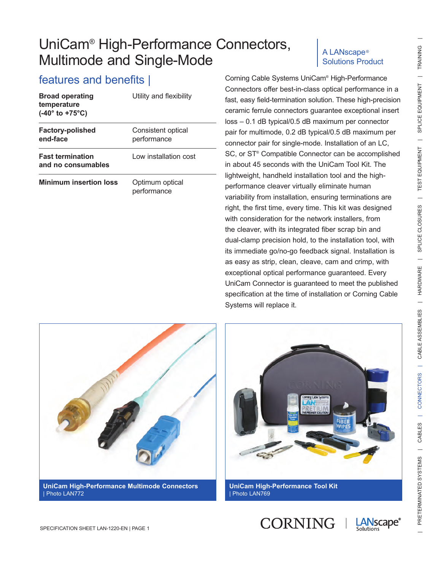| <b>Broad operating</b><br>temperature<br>$(-40^{\circ}$ to $+75^{\circ}C)$ | Utility and flexibility           |
|----------------------------------------------------------------------------|-----------------------------------|
| <b>Factory-polished</b><br>end-face                                        | Consistent optical<br>performance |
| <b>Fast termination</b><br>and no consumables                              | Low installation cost             |
| <b>Minimum insertion loss</b>                                              | Optimum optical<br>performance    |

#### A LANscape® Solutions Product

features and benefits | Corning Cable Systems UniCam® High-Performance Connectors offer best-in-class optical performance in a fast, easy field-termination solution. These high-precision ceramic ferrule connectors guarantee exceptional insert loss – 0.1 dB typical/0.5 dB maximum per connector pair for multimode, 0.2 dB typical/0.5 dB maximum per connector pair for single-mode. Installation of an LC, SC, or ST® Compatible Connector can be accomplished in about 45 seconds with the UniCam Tool Kit. The lightweight, handheld installation tool and the highperformance cleaver virtually eliminate human variability from installation, ensuring terminations are right, the first time, every time. This kit was designed with consideration for the network installers, from the cleaver, with its integrated fiber scrap bin and dual-clamp precision hold, to the installation tool, with its immediate go/no-go feedback signal. Installation is as easy as strip, clean, cleave, cam and crimp, with exceptional optical performance guaranteed. Every UniCam Connector is guaranteed to meet the published specification at the time of installation or Corning Cable Systems will replace it.





**UniCam High-Performance Tool Kit** | Photo LAN769

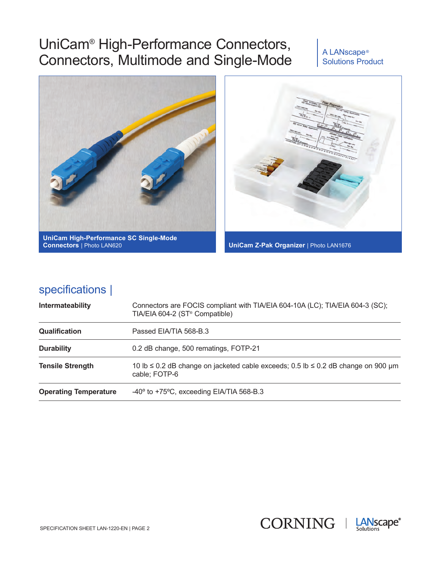#### A LANscape® Solutions Product



### specifications |

| Intermateability             | Connectors are FOCIS compliant with TIA/EIA 604-10A (LC); TIA/EIA 604-3 (SC);<br>TIA/EIA 604-2 (ST <sup>®</sup> Compatible) |
|------------------------------|-----------------------------------------------------------------------------------------------------------------------------|
| <b>Qualification</b>         | Passed EIA/TIA 568-B.3                                                                                                      |
| <b>Durability</b>            | 0.2 dB change, 500 rematings, FOTP-21                                                                                       |
| <b>Tensile Strength</b>      | 10 lb $\leq$ 0.2 dB change on jacketed cable exceeds; 0.5 lb $\leq$ 0.2 dB change on 900 µm<br>cable; FOTP-6                |
| <b>Operating Temperature</b> | $-40^{\circ}$ to $+75^{\circ}$ C, exceeding EIA/TIA 568-B.3                                                                 |



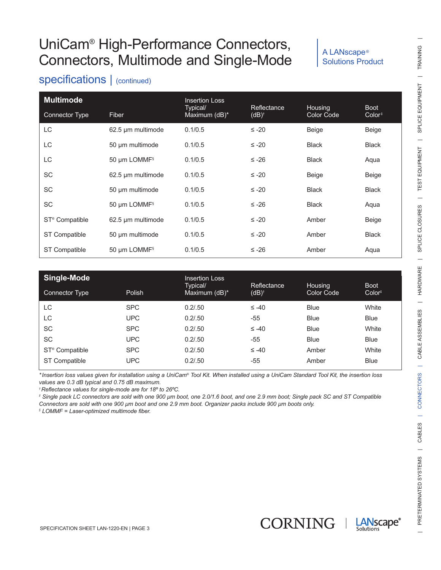#### A LANscape® Solutions Product

### specifications | (continued)

| <b>Multimode</b>           |                          | <b>Insertion Loss</b>     |                                 |                       |                                   |
|----------------------------|--------------------------|---------------------------|---------------------------------|-----------------------|-----------------------------------|
| <b>Connector Type</b>      | Fiber                    | Typical/<br>Maximum (dB)* | Reflectance<br>$(dB)^{\dagger}$ | Housing<br>Color Code | <b>Boot</b><br>Color <sup>‡</sup> |
| LC                         | 62.5 µm multimode        | 0.1/0.5                   | $\leq -20$                      | Beige                 | Beige                             |
| LC                         | 50 µm multimode          | 0.1/0.5                   | $\leq -20$                      | <b>Black</b>          | <b>Black</b>                      |
| LC                         | 50 µm LOMMF <sup>§</sup> | 0.1/0.5                   | $≤ -26$                         | <b>Black</b>          | Aqua                              |
| <b>SC</b>                  | 62.5 µm multimode        | 0.1/0.5                   | $\leq -20$                      | Beige                 | Beige                             |
| <b>SC</b>                  | 50 µm multimode          | 0.1/0.5                   | $\leq -20$                      | <b>Black</b>          | <b>Black</b>                      |
| <b>SC</b>                  | 50 µm LOMMF <sup>§</sup> | 0.1/0.5                   | $≤ -26$                         | <b>Black</b>          | Aqua                              |
| ST <sup>®</sup> Compatible | 62.5 µm multimode        | 0.1/0.5                   | $\leq -20$                      | Amber                 | Beige                             |
| ST Compatible              | 50 µm multimode          | 0.1/0.5                   | $\leq -20$                      | Amber                 | <b>Black</b>                      |
| <b>ST Compatible</b>       | 50 µm LOMMF <sup>§</sup> | 0.1/0.5                   | $≤ -26$                         | Amber                 | Aqua                              |

| Single-Mode                |            | <b>Insertion Loss</b><br>Typical/ | <b>Reflectance</b> | Housing     | <b>Boot</b>        |
|----------------------------|------------|-----------------------------------|--------------------|-------------|--------------------|
| Connector Type             | Polish     | Maximum (dB)*                     | $(dB)^{\dagger}$   | Color Code  | Color <sup>‡</sup> |
| LC.                        | <b>SPC</b> | 0.2/0.50                          | $\leq -40$         | <b>Blue</b> | White              |
| LC                         | <b>UPC</b> | 0.2/0.50                          | $-55$              | <b>Blue</b> | <b>Blue</b>        |
| <b>SC</b>                  | <b>SPC</b> | 0.2/0.50                          | $\leq -40$         | <b>Blue</b> | White              |
| <b>SC</b>                  | <b>UPC</b> | 0.2/0.50                          | $-55$              | <b>Blue</b> | <b>Blue</b>        |
| ST <sup>®</sup> Compatible | <b>SPC</b> | 0.2/0.50                          | $\leq -40$         | Amber       | White              |
| <b>ST Compatible</b>       | <b>UPC</b> | 0.2/0.50                          | $-55$              | Amber       | <b>Blue</b>        |

*\*Insertion loss values given for installation using a UniCam® Tool Kit. When installed using a UniCam Standard Tool Kit, the insertion loss values are 0.3 dB typical and 0.75 dB maximum.*

*†Reflectance values for single-mode are for 18º to 26ºC.*

*‡ Single pack LC connectors are sold with one 900 µm boot, one 2.0/1.6 boot, and one 2.9 mm boot; Single pack SC and ST Compatible Connectors are sold with one 900 µm boot and one 2.9 mm boot. Organizer packs include 900 µm boots only.*

*§ LOMMF = Laser-optimized multimode fiber.*



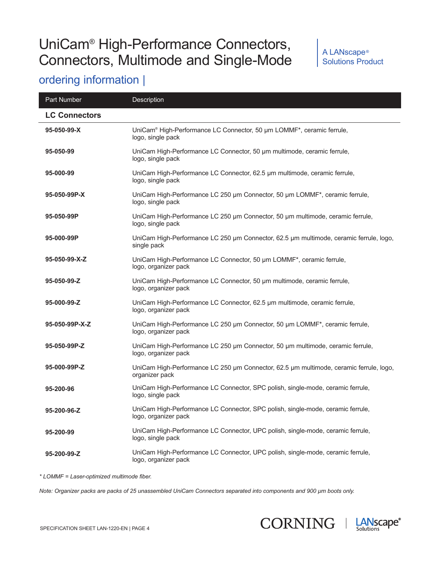#### A LANscape® Solutions Product

### ordering information |

| Part Number          | <b>Description</b>                                                                                       |
|----------------------|----------------------------------------------------------------------------------------------------------|
| <b>LC Connectors</b> |                                                                                                          |
| 95-050-99-X          | UniCam® High-Performance LC Connector, 50 µm LOMMF*, ceramic ferrule,<br>logo, single pack               |
| 95-050-99            | UniCam High-Performance LC Connector, 50 um multimode, ceramic ferrule,<br>logo, single pack             |
| 95-000-99            | UniCam High-Performance LC Connector, 62.5 µm multimode, ceramic ferrule,<br>logo, single pack           |
| 95-050-99P-X         | UniCam High-Performance LC 250 µm Connector, 50 µm LOMMF*, ceramic ferrule,<br>logo, single pack         |
| 95-050-99P           | UniCam High-Performance LC 250 µm Connector, 50 µm multimode, ceramic ferrule,<br>logo, single pack      |
| 95-000-99P           | UniCam High-Performance LC 250 µm Connector, 62.5 µm multimode, ceramic ferrule, logo,<br>single pack    |
| 95-050-99-X-Z        | UniCam High-Performance LC Connector, 50 µm LOMMF*, ceramic ferrule,<br>logo, organizer pack             |
| 95-050-99-Z          | UniCam High-Performance LC Connector, 50 um multimode, ceramic ferrule,<br>logo, organizer pack          |
| 95-000-99-Z          | UniCam High-Performance LC Connector, 62.5 um multimode, ceramic ferrule,<br>logo, organizer pack        |
| 95-050-99P-X-Z       | UniCam High-Performance LC 250 µm Connector, 50 µm LOMMF*, ceramic ferrule,<br>logo, organizer pack      |
| 95-050-99P-Z         | UniCam High-Performance LC 250 µm Connector, 50 µm multimode, ceramic ferrule,<br>logo, organizer pack   |
| 95-000-99P-Z         | UniCam High-Performance LC 250 µm Connector, 62.5 µm multimode, ceramic ferrule, logo,<br>organizer pack |
| 95-200-96            | UniCam High-Performance LC Connector, SPC polish, single-mode, ceramic ferrule,<br>logo, single pack     |
| 95-200-96-Z          | UniCam High-Performance LC Connector, SPC polish, single-mode, ceramic ferrule,<br>logo, organizer pack  |
| 95-200-99            | UniCam High-Performance LC Connector, UPC polish, single-mode, ceramic ferrule,<br>logo, single pack     |
| 95-200-99-Z          | UniCam High-Performance LC Connector, UPC polish, single-mode, ceramic ferrule,<br>logo, organizer pack  |

*\* LOMMF = Laser-optimized multimode fiber.*

*Note: Organizer packs are packs of 25 unassembled UniCam Connectors separated into components and 900 µm boots only.*



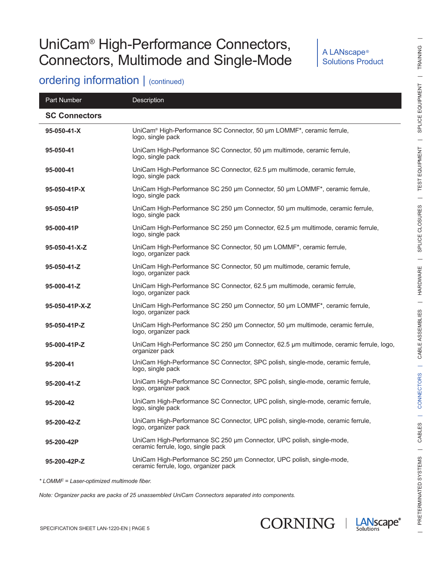#### A LANscape® Solutions Product

### ordering information | (continued)

| Part Number          | Description                                                                                                    |
|----------------------|----------------------------------------------------------------------------------------------------------------|
| <b>SC Connectors</b> |                                                                                                                |
| 95-050-41-X          | UniCam <sup>®</sup> High-Performance SC Connector, 50 µm LOMMF*, ceramic ferrule,<br>logo, single pack         |
| 95-050-41            | UniCam High-Performance SC Connector, 50 um multimode, ceramic ferrule,<br>logo, single pack                   |
| 95-000-41            | UniCam High-Performance SC Connector, 62.5 µm multimode, ceramic ferrule,<br>logo, single pack                 |
| 95-050-41P-X         | UniCam High-Performance SC 250 µm Connector, 50 µm LOMMF*, ceramic ferrule,<br>logo, single pack               |
| 95-050-41P           | UniCam High-Performance SC 250 µm Connector, 50 µm multimode, ceramic ferrule,<br>logo, single pack            |
| 95-000-41P           | UniCam High-Performance SC 250 µm Connector, 62.5 µm multimode, ceramic ferrule,<br>logo, single pack          |
| 95-050-41-X-Z        | UniCam High-Performance SC Connector, 50 µm LOMMF*, ceramic ferrule,<br>logo, organizer pack                   |
| 95-050-41-Z          | UniCam High-Performance SC Connector, 50 um multimode, ceramic ferrule,<br>logo, organizer pack                |
| 95-000-41-Z          | UniCam High-Performance SC Connector, 62.5 µm multimode, ceramic ferrule,<br>logo, organizer pack              |
| 95-050-41P-X-Z       | UniCam High-Performance SC 250 µm Connector, 50 µm LOMMF*, ceramic ferrule,<br>logo, organizer pack            |
| 95-050-41P-Z         | UniCam High-Performance SC 250 µm Connector, 50 µm multimode, ceramic ferrule,<br>logo, organizer pack         |
| 95-000-41P-Z         | UniCam High-Performance SC 250 µm Connector, 62.5 µm multimode, ceramic ferrule, logo,<br>organizer pack       |
| 95-200-41            | UniCam High-Performance SC Connector, SPC polish, single-mode, ceramic ferrule,<br>logo, single pack           |
| 95-200-41-Z          | UniCam High-Performance SC Connector, SPC polish, single-mode, ceramic ferrule,<br>logo, organizer pack        |
| 95-200-42            | UniCam High-Performance SC Connector, UPC polish, single-mode, ceramic ferrule,<br>logo, single pack           |
| 95-200-42-Z          | UniCam High-Performance SC Connector, UPC polish, single-mode, ceramic ferrule,<br>logo, organizer pack        |
| 95-200-42P           | UniCam High-Performance SC 250 µm Connector, UPC polish, single-mode,<br>ceramic ferrule, logo, single pack    |
| 95-200-42P-Z         | UniCam High-Performance SC 250 µm Connector, UPC polish, single-mode,<br>ceramic ferrule, logo, organizer pack |

*\* LOMMF = Laser-optimized multimode fiber.*

*Note: Organizer packs are packs of 25 unassembled UniCam Connectors separated into components.*



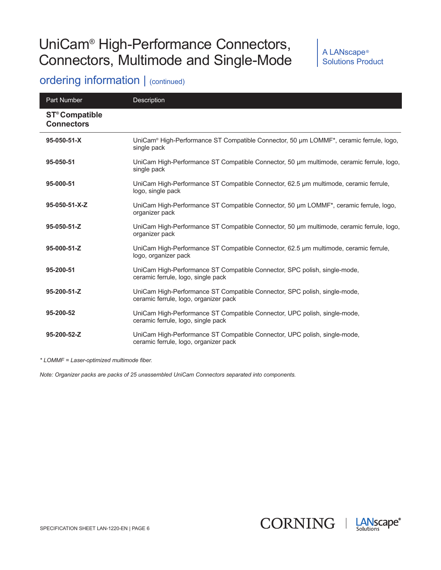#### A LANscape® Solutions Product

### ordering information | (continued)

| Part Number                                           | Description                                                                                                                    |
|-------------------------------------------------------|--------------------------------------------------------------------------------------------------------------------------------|
| <b>ST<sup>®</sup> Compatible</b><br><b>Connectors</b> |                                                                                                                                |
| 95-050-51-X                                           | UniCam <sup>®</sup> High-Performance ST Compatible Connector, 50 µm LOMMF <sup>*</sup> , ceramic ferrule, logo,<br>single pack |
| 95-050-51                                             | UniCam High-Performance ST Compatible Connector, 50 µm multimode, ceramic ferrule, logo,<br>single pack                        |
| 95-000-51                                             | UniCam High-Performance ST Compatible Connector, 62.5 µm multimode, ceramic ferrule,<br>logo, single pack                      |
| $95-050-51-X-Z$                                       | UniCam High-Performance ST Compatible Connector, 50 µm LOMMF*, ceramic ferrule, logo,<br>organizer pack                        |
| 95-050-51-Z                                           | UniCam High-Performance ST Compatible Connector, 50 µm multimode, ceramic ferrule, logo,<br>organizer pack                     |
| 95-000-51-Z                                           | UniCam High-Performance ST Compatible Connector, 62.5 µm multimode, ceramic ferrule,<br>logo, organizer pack                   |
| 95-200-51                                             | UniCam High-Performance ST Compatible Connector, SPC polish, single-mode,<br>ceramic ferrule, logo, single pack                |
| 95-200-51-Z                                           | UniCam High-Performance ST Compatible Connector, SPC polish, single-mode,<br>ceramic ferrule, logo, organizer pack             |
| 95-200-52                                             | UniCam High-Performance ST Compatible Connector, UPC polish, single-mode,<br>ceramic ferrule, logo, single pack                |
| 95-200-52-Z                                           | UniCam High-Performance ST Compatible Connector, UPC polish, single-mode,<br>ceramic ferrule, logo, organizer pack             |

*\* LOMMF = Laser-optimized multimode fiber.*

*Note: Organizer packs are packs of 25 unassembled UniCam Connectors separated into components.*

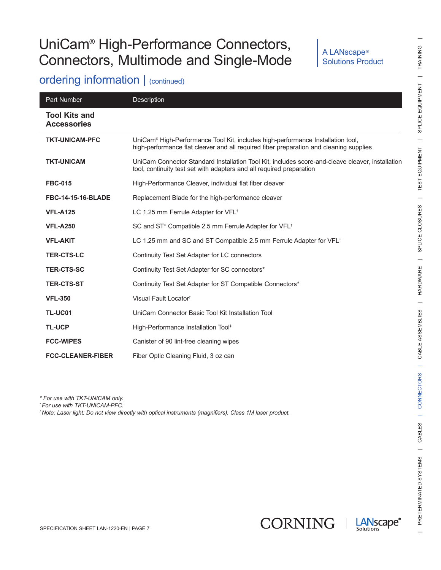#### A LANscape® Solutions Product

### ordering information | (continued)

| Part Number                                | <b>Description</b>                                                                                                                                                        |
|--------------------------------------------|---------------------------------------------------------------------------------------------------------------------------------------------------------------------------|
| <b>Tool Kits and</b><br><b>Accessories</b> |                                                                                                                                                                           |
| <b>TKT-UNICAM-PFC</b>                      | UniCam® High-Performance Tool Kit, includes high-performance Installation tool,<br>high-performance flat cleaver and all required fiber preparation and cleaning supplies |
| <b>TKT-UNICAM</b>                          | UniCam Connector Standard Installation Tool Kit, includes score-and-cleave cleaver, installation<br>tool, continuity test set with adapters and all required preparation  |
| <b>FBC-015</b>                             | High-Performance Cleaver, individual flat fiber cleaver                                                                                                                   |
| <b>FBC-14-15-16-BLADE</b>                  | Replacement Blade for the high-performance cleaver                                                                                                                        |
| <b>VFL-A125</b>                            | LC 1.25 mm Ferrule Adapter for VFL <sup>+</sup>                                                                                                                           |
| <b>VFL-A250</b>                            | SC and ST® Compatible 2.5 mm Ferrule Adapter for VFL <sup>+</sup>                                                                                                         |
| <b>VFL-AKIT</b>                            | LC 1.25 mm and SC and ST Compatible 2.5 mm Ferrule Adapter for VFL <sup>+</sup>                                                                                           |
| <b>TER-CTS-LC</b>                          | Continuity Test Set Adapter for LC connectors                                                                                                                             |
| <b>TER-CTS-SC</b>                          | Continuity Test Set Adapter for SC connectors*                                                                                                                            |
| <b>TER-CTS-ST</b>                          | Continuity Test Set Adapter for ST Compatible Connectors*                                                                                                                 |
| <b>VFL-350</b>                             | Visual Fault Locator <sup>#</sup>                                                                                                                                         |
| TL-UC01                                    | UniCam Connector Basic Tool Kit Installation Tool                                                                                                                         |
| <b>TL-UCP</b>                              | High-Performance Installation Tool <sup>#</sup>                                                                                                                           |
| <b>FCC-WIPES</b>                           | Canister of 90 lint-free cleaning wipes                                                                                                                                   |
| <b>FCC-CLEANER-FIBER</b>                   | Fiber Optic Cleaning Fluid, 3 oz can                                                                                                                                      |

*\* For use with TKT-UNICAM only.*

*†For use with TKT-UNICAM-PFC.*

*‡Note: Laser light: Do not view directly with optical instruments (magnifiers). Class 1M laser product.*